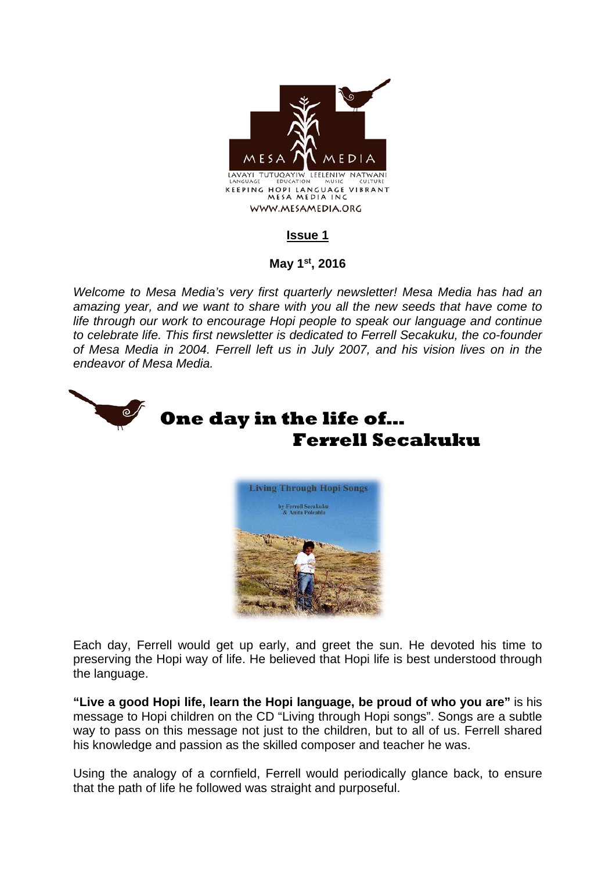

## **Issue 1**

## **May 1st, 2016**

*Welcome to Mesa Media's very first quarterly newsletter! Mesa Media has had an amazing year, and we want to share with you all the new seeds that have come to life through our work to encourage Hopi people to speak our language and continue to celebrate life. This first newsletter is dedicated to Ferrell Secakuku, the co-founder of Mesa Media in 2004. Ferrell left us in July 2007, and his vision lives on in the endeavor of Mesa Media.* 



Each day, Ferrell would get up early, and greet the sun. He devoted his time to preserving the Hopi way of life. He believed that Hopi life is best understood through the language.

**"Live a good Hopi life, learn the Hopi language, be proud of who you are"** is his message to Hopi children on the CD "Living through Hopi songs". Songs are a subtle way to pass on this message not just to the children, but to all of us. Ferrell shared his knowledge and passion as the skilled composer and teacher he was.

Using the analogy of a cornfield, Ferrell would periodically glance back, to ensure that the path of life he followed was straight and purposeful.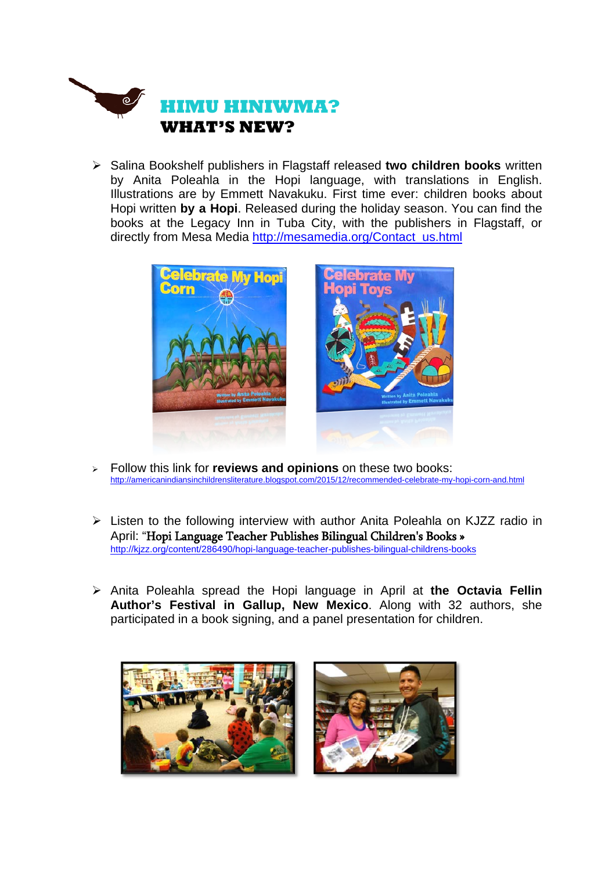

 Salina Bookshelf publishers in Flagstaff released **two children books** written by Anita Poleahla in the Hopi language, with translations in English. Illustrations are by Emmett Navakuku. First time ever: children books about Hopi written **by a Hopi**. Released during the holiday season. You can find the books at the Legacy Inn in Tuba City, with the publishers in Flagstaff, or directly from Mesa Media http://mesamedia.org/Contact\_us.html



- Follow this link for **reviews and opinions** on these two books: http://americanindiansinchildrensliterature.blogspot.com/2015/12/recommended-celebrate-my-hopi-corn-and.html
- Listen to the following interview with author Anita Poleahla on KJZZ radio in April: "Hopi Language Teacher Publishes Bilingual Children's Books » http://kjzz.org/content/286490/hopi-language-teacher-publishes-bilingual-childrens-books
- Anita Poleahla spread the Hopi language in April at **the Octavia Fellin Author's Festival in Gallup, New Mexico**. Along with 32 authors, she participated in a book signing, and a panel presentation for children.

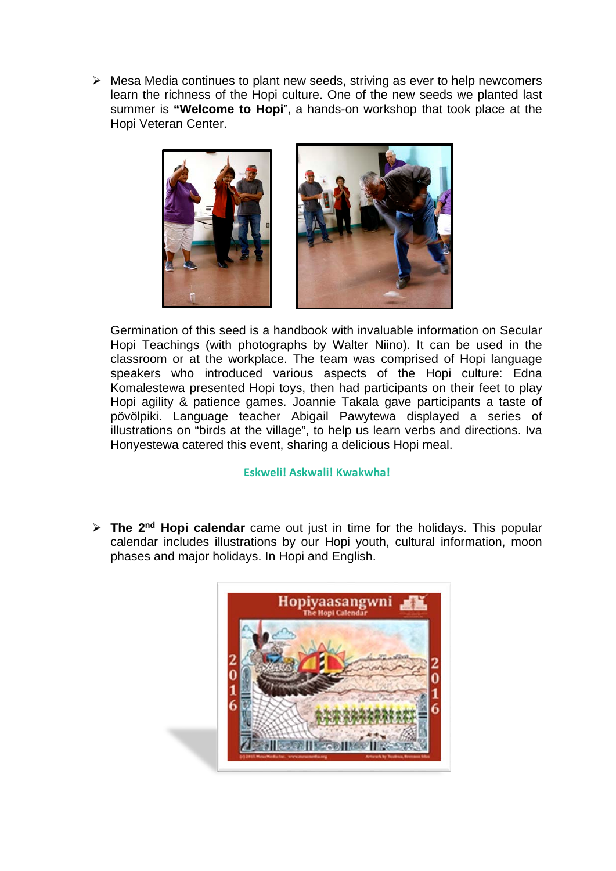$\triangleright$  Mesa Media continues to plant new seeds, striving as ever to help newcomers learn the richness of the Hopi culture. One of the new seeds we planted last summer is **"Welcome to Hopi**", a hands-on workshop that took place at the Hopi Veteran Center.



Germination of this seed is a handbook with invaluable information on Secular Hopi Teachings (with photographs by Walter Niino). It can be used in the classroom or at the workplace. The team was comprised of Hopi language speakers who introduced various aspects of the Hopi culture: Edna Komalestewa presented Hopi toys, then had participants on their feet to play Hopi agility & patience games. Joannie Takala gave participants a taste of pövölpiki. Language teacher Abigail Pawytewa displayed a series of illustrations on "birds at the village", to help us learn verbs and directions. Iva Honyestewa catered this event, sharing a delicious Hopi meal.

#### **Eskweli! Askwali! Kwakwha!**

 **The 2nd Hopi calendar** came out just in time for the holidays. This popular calendar includes illustrations by our Hopi youth, cultural information, moon phases and major holidays. In Hopi and English.

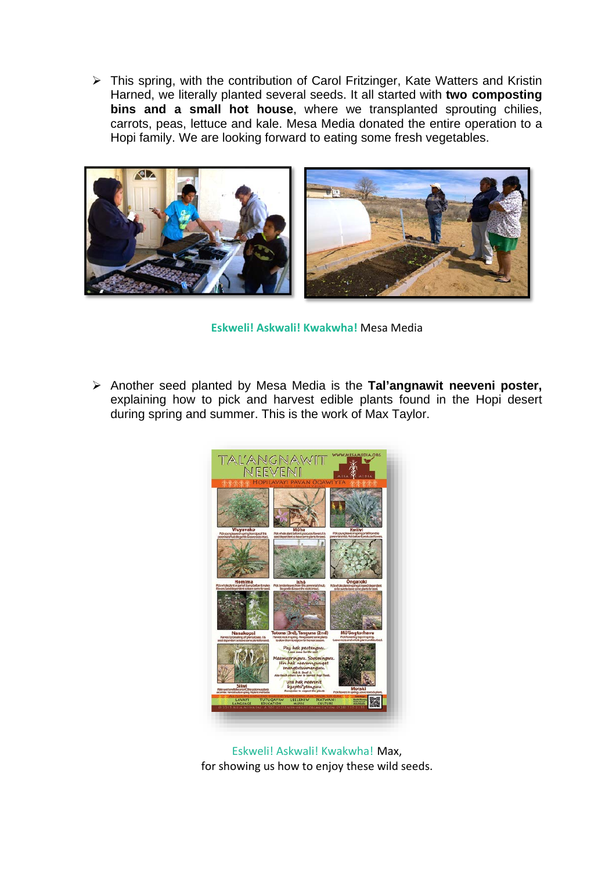This spring, with the contribution of Carol Fritzinger, Kate Watters and Kristin Harned, we literally planted several seeds. It all started with **two composting bins and a small hot house**, where we transplanted sprouting chilies, carrots, peas, lettuce and kale. Mesa Media donated the entire operation to a Hopi family. We are looking forward to eating some fresh vegetables.



**Eskweli! Askwali! Kwakwha!** Mesa Media

 Another seed planted by Mesa Media is the **Tal'angnawit neeveni poster,** explaining how to pick and harvest edible plants found in the Hopi desert during spring and summer. This is the work of Max Taylor.



Eskweli! Askwali! Kwakwha! Max, for showing us how to enjoy these wild seeds.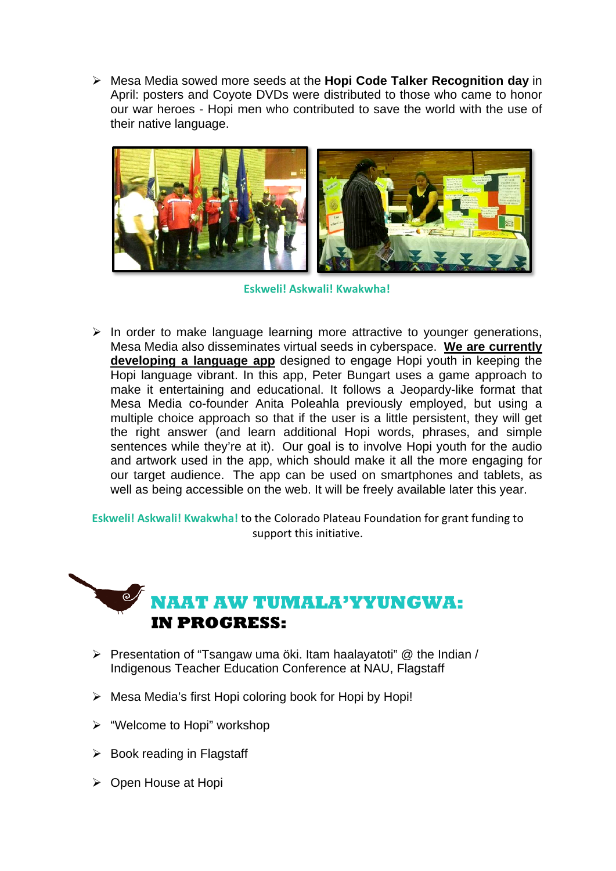Mesa Media sowed more seeds at the **Hopi Code Talker Recognition day** in April: posters and Coyote DVDs were distributed to those who came to honor our war heroes - Hopi men who contributed to save the world with the use of their native language.



**Eskweli! Askwali! Kwakwha!**

 $\triangleright$  In order to make language learning more attractive to younger generations, Mesa Media also disseminates virtual seeds in cyberspace. **We are currently developing a language app** designed to engage Hopi youth in keeping the Hopi language vibrant. In this app, Peter Bungart uses a game approach to make it entertaining and educational. It follows a Jeopardy-like format that Mesa Media co-founder Anita Poleahla previously employed, but using a multiple choice approach so that if the user is a little persistent, they will get the right answer (and learn additional Hopi words, phrases, and simple sentences while they're at it). Our goal is to involve Hopi youth for the audio and artwork used in the app, which should make it all the more engaging for our target audience. The app can be used on smartphones and tablets, as well as being accessible on the web. It will be freely available later this year.

**Eskweli! Askwali! Kwakwha!** to the Colorado Plateau Foundation for grant funding to support this initiative.

# **NAAT AW TUMALA'YYUNGWA: IN PROGRESS:**

- $\triangleright$  Presentation of "Tsangaw uma öki. Itam haalayatoti" @ the Indian / Indigenous Teacher Education Conference at NAU, Flagstaff
- $\triangleright$  Mesa Media's first Hopi coloring book for Hopi by Hopi!
- "Welcome to Hopi" workshop
- $\triangleright$  Book reading in Flagstaff
- $\triangleright$  Open House at Hopi